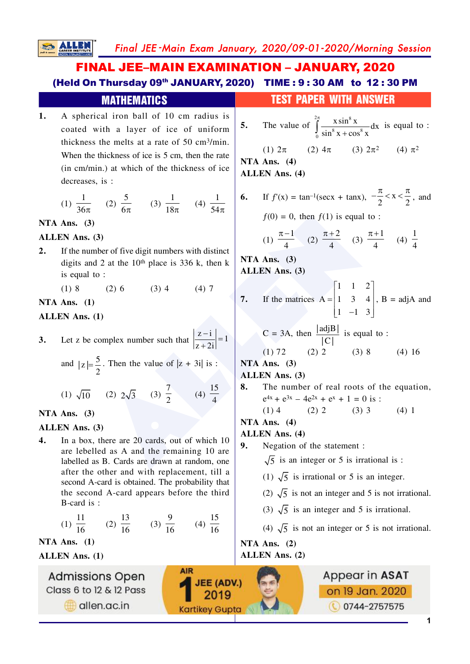Final JEE-Main Exam January, 2020/09-01-2020/Morning Session

# **FINAL JEE-MAIN EXAMINATION - JANUARY, 2020** (Held On Thursday 09th JANUARY, 2020) TIME: 9:30 AM to 12:30 PM

**SALLEN** 

**MATHEMATICS**  
\n1. A spherical iron ball of 10 cm radius is  
\ncotated with a layer of ice of uniform  
\nthickness of ice is 56 cm, 10 min  
\nWhen the thickness of ice is 56 cm, 10 min  
\n(b) the thickness of ice is 56 cm, 10 min  
\n(b) the thickness of ice is 56 cm, 10 min  
\n(c) 5  
\n(d) 
$$
\frac{1}{36\pi}
$$
 (2)  $\frac{5}{6\pi}$  (3)  $\frac{1}{18\pi}$  (4)  $\frac{1}{54\pi}$   
\n5. The value of  $\frac{2}{9} \frac{x \sin^5 x}{\sin^5 x + \cos^5 x}$  is equal to :  
\n(i) 2π (2) 4π (3) 2π<sup>2</sup> (4) π<sup>2</sup>  
\n(ii) 2π (2) 4π (3) 2π<sup>2</sup> (4) π<sup>2</sup>  
\n(i) 2π (2) 4π (3) 2π<sup>2</sup> (4) π<sup>2</sup>  
\n4. LLEN Ans. (3)  
\n5. C1  
\nATA Ans. (3)  
\n6. If  $f(x) = \tan^{-1}(\sec x + \tan x)$ ,  $-\frac{\pi}{2} < x < \frac{\pi}{2}$ , and  
\n $f(0) = 0$ , then  $f(1)$  is equal to :  
\n6. If  $f(x) = \tan^{-1}(\sec x + \tan x)$ ,  $-\frac{\pi}{2} < x < \frac{\pi}{2}$ , and  
\n $f(1)$  is equal to :  
\n6. If  $f(x) = \tan^{-1}(\sec x + \tan x)$ ,  $-\frac{\pi}{2} < x < \frac{\pi}{2}$ , and  
\n $f(1)$  is equal to :  
\n6. If  $f(x) = \tan^{-1}(\sec x + \tan x)$ ,  $-\frac{\pi}{2} < x < \frac{\pi}{2}$ , and  
\n $f(1)$  is equal to :  
\n10. 10  
\n11. 8  
\n12. 11. 12. 13. 15.  
\n13. Let z be complex number such that  $\left|\frac{z-i}{z+2i}\right| = 1$   
\n14. 13. 16  
\n15. 17A Ans. (3)  
\n16. 17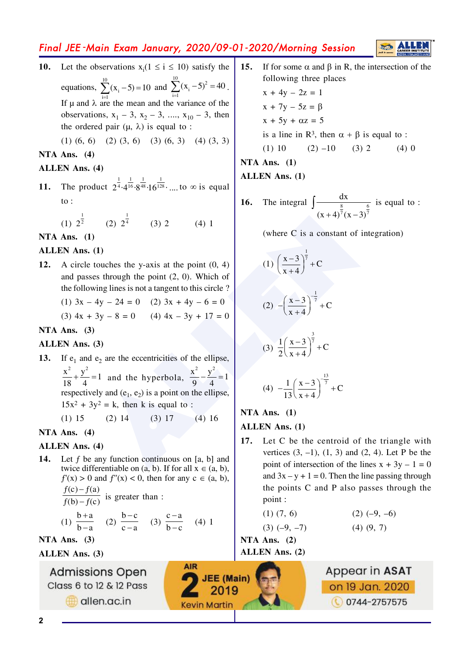## Final JEE-Main Exam January, 2020/09-01-2020/Morning Session

Let the observations  $x_i(1 \le i \le 10)$  satisfy the 10. equations,  $\sum_{i=1}^{10} (x_i - 5) = 10$  and  $\sum_{i=1}^{10} (x_i - 5)^2 = 40$ . If  $\mu$  and  $\lambda$  are the mean and the variance of the observations,  $x_1$  – 3,  $x_2$  – 3, ...,  $x_{10}$  – 3, then the ordered pair  $(\mu, \lambda)$  is equal to :

 $(1)$   $(6, 6)$   $(2)$   $(3, 6)$   $(3)$   $(6, 3)$   $(4)$   $(3, 3)$ 

#### NTA Ans.  $(4)$

#### **ALLEN Ans. (4)**

The product  $2^{\frac{1}{4}} \cdot 4^{\frac{1}{16}} \cdot 8^{\frac{1}{48}} \cdot 16^{\frac{1}{128}} \cdot \dots$  to  $\infty$  is equal  $11.$  $\mathrm{to}$ :

> (1)  $2^{\frac{1}{2}}$  (2)  $2^{\frac{1}{4}}$  (3) 2  $(4)$  1

NTA Ans.  $(1)$ 

#### **ALLEN Ans.** (1)

A circle touches the y-axis at the point  $(0, 4)$ **12.** and passes through the point  $(2, 0)$ . Which of the following lines is not a tangent to this circle?

> (1)  $3x - 4y - 24 = 0$  (2)  $3x + 4y - 6 = 0$ (3)  $4x + 3y - 8 = 0$  (4)  $4x - 3y + 17 = 0$

### NTA Ans.  $(3)$

#### ALLEN Ans. (3)

If  $e_1$  and  $e_2$  are the eccentricities of the ellipse, 13.

 $\frac{x^2}{18} + \frac{y^2}{4} = 1$  and the hyperbola,  $\frac{x^2}{9} - \frac{y^2}{4} = 1$ respectively and  $(e_1, e_2)$  is a point on the ellipse,  $15x^2 + 3y^2 = k$ , then k is equal to :

$$
(1) 15 \t(2) 14 \t(3) 17 \t(4) 16
$$

NTA Ans.  $(4)$ 

#### **ALLEN** Ans. (4)

Let  $f$  be any function continuous on [a, b] and 14. twice differentiable on  $(a, b)$ . If for all  $x \in (a, b)$ ,  $f'(x) > 0$  and  $f''(x) < 0$ , then for any  $c \in (a, b)$ ,  $\frac{f(c)-f(a)}{f(b)-f(c)}$  is greater than :

(1) 
$$
\frac{b+a}{b-a}
$$
 (2)  $\frac{b-c}{c-a}$  (3)  $\frac{c-a}{b-c}$  (4) 1

**AIR** 

**JEE** (Main)

2019

**Kevin Martin** 

NTA Ans.  $(3)$ 

**ALLEN Ans. (3)** 

**Admissions Open** Class 6 to 12 & 12 Pass

allen.ac.in

 $15.$ If for some  $\alpha$  and  $\beta$  in R, the intersection of the following three places  $x + 4y - 2z = 1$  $x + 7y - 5z = \beta$  $x + 5y + \alpha z = 5$ is a line in R<sup>3</sup>, then  $\alpha + \beta$  is equal to :  $(1) 10$  $(2) -10$  $(3)$  2  $(4)$  0

NTA Ans.  $(1)$ 

**ALLEN Ans. (1)** 

The integral  $\int \frac{dx}{(x+4)^7(x-3)^{\frac{6}{7}}}$  is equal to : 16.

(where C is a constant of integration)

(1) 
$$
\left(\frac{x-3}{x+4}\right)^{\frac{1}{7}} + C
$$
  
\n(2)  $-\left(\frac{x-3}{x+4}\right)^{\frac{1}{7}} + C$   
\n(3)  $\frac{1}{2} \left(\frac{x-3}{x+4}\right)^{\frac{3}{7}} + C$ 

(4) 
$$
-\frac{1}{13}\left(\frac{x-3}{x+4}\right)^{\frac{13}{7}} + C
$$

### NTA Ans. (1)

#### **ALLEN Ans.** (1)

 $17.$ Let C be the centroid of the triangle with vertices  $(3, -1)$ ,  $(1, 3)$  and  $(2, 4)$ . Let P be the point of intersection of the lines  $x + 3y - 1 = 0$ and  $3x - y + 1 = 0$ . Then the line passing through the points C and P also passes through the point:

$$
(1) (7, 6)
$$

$$
(2) (-9, -6)
$$

 $(3) (-9, -7)$ 

NTA Ans.  $(2)$ **ALLEN** Ans. (2)  $(4)$   $(9, 7)$ 

Appear in ASAT

on 19 Jan. 2020

0744-2757575

 $\overline{2}$